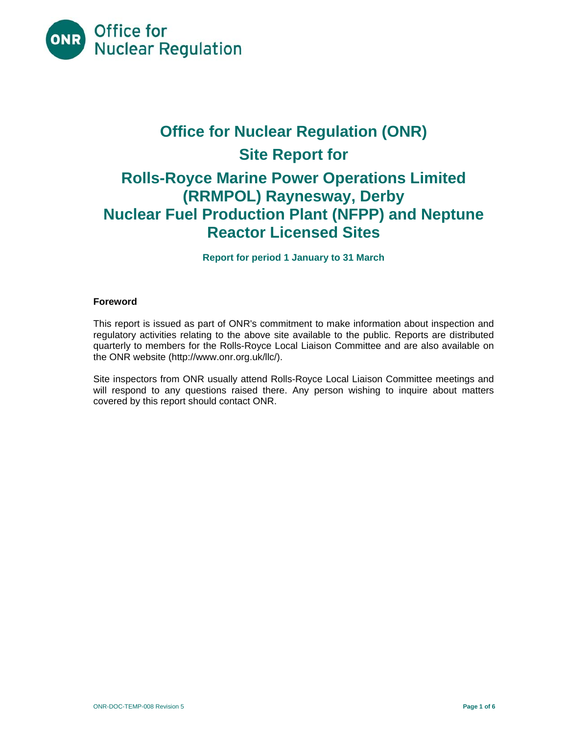

# **Office for Nuclear Regulation (ONR) Site Report for Rolls-Royce Marine Power Operations Limited (RRMPOL) Raynesway, Derby Nuclear Fuel Production Plant (NFPP) and Neptune Reactor Licensed Sites**

**Report for period 1 January to 31 March** 

# **Foreword**

This report is issued as part of ONR's commitment to make information about inspection and regulatory activities relating to the above site available to the public. Reports are distributed quarterly to members for the Rolls-Royce Local Liaison Committee and are also available on the ONR website (http://www.onr.org.uk/llc/).

Site inspectors from ONR usually attend Rolls-Royce Local Liaison Committee meetings and will respond to any questions raised there. Any person wishing to inquire about matters covered by this report should contact ONR.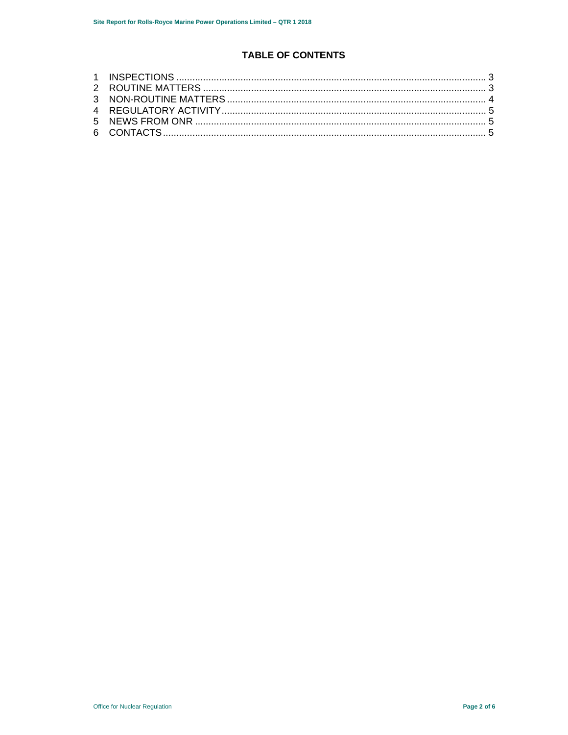# **TABLE OF CONTENTS**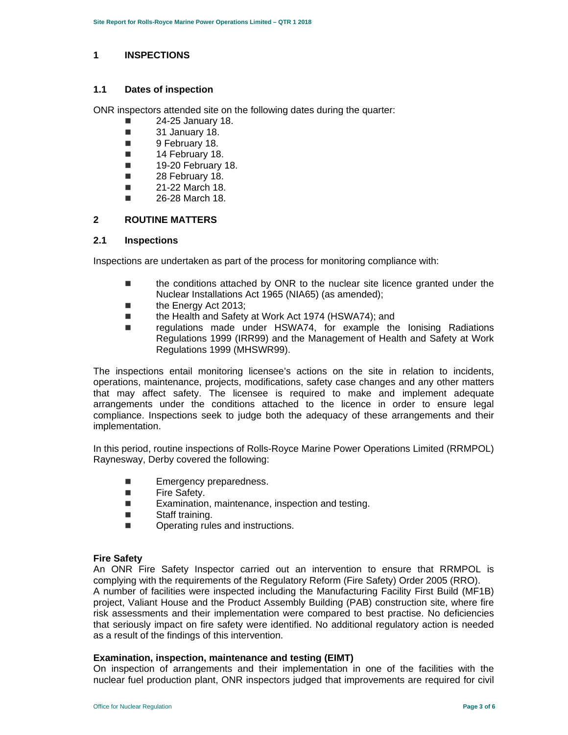### **1 INSPECTIONS**

### **1.1 Dates of inspection**

ONR inspectors attended site on the following dates during the quarter:

- $\blacksquare$  24-25 January 18.
- **31 January 18.**
- **9 February 18.**
- **14 February 18.**
- $\blacksquare$  19-20 February 18.
- 28 February 18.
- $\blacksquare$  21-22 March 18.
- 26-28 March 18.

# **2 ROUTINE MATTERS**

#### **2.1 Inspections**

Inspections are undertaken as part of the process for monitoring compliance with:

- the conditions attached by ONR to the nuclear site licence granted under the Nuclear Installations Act 1965 (NIA65) (as amended);
- the Energy Act 2013;
- the Health and Safety at Work Act 1974 (HSWA74); and<br>■ sequilations made under HSWA74, for example the
- regulations made under HSWA74, for example the Ionising Radiations Regulations 1999 (IRR99) and the Management of Health and Safety at Work Regulations 1999 (MHSWR99).

The inspections entail monitoring licensee's actions on the site in relation to incidents, operations, maintenance, projects, modifications, safety case changes and any other matters that may affect safety. The licensee is required to make and implement adequate arrangements under the conditions attached to the licence in order to ensure legal compliance. Inspections seek to judge both the adequacy of these arrangements and their implementation.

In this period, routine inspections of Rolls-Royce Marine Power Operations Limited (RRMPOL) Raynesway, Derby covered the following:

- **Emergency preparedness.**
- **Fire Safety.**
- **EXamination, maintenance, inspection and testing.**
- Staff training.
- **Dearating rules and instructions.**

# **Fire Safety**

An ONR Fire Safety Inspector carried out an intervention to ensure that RRMPOL is complying with the requirements of the Regulatory Reform (Fire Safety) Order 2005 (RRO). A number of facilities were inspected including the Manufacturing Facility First Build (MF1B) project, Valiant House and the Product Assembly Building (PAB) construction site, where fire risk assessments and their implementation were compared to best practise. No deficiencies that seriously impact on fire safety were identified. No additional regulatory action is needed as a result of the findings of this intervention.

# **Examination, inspection, maintenance and testing (EIMT)**

On inspection of arrangements and their implementation in one of the facilities with the nuclear fuel production plant, ONR inspectors judged that improvements are required for civil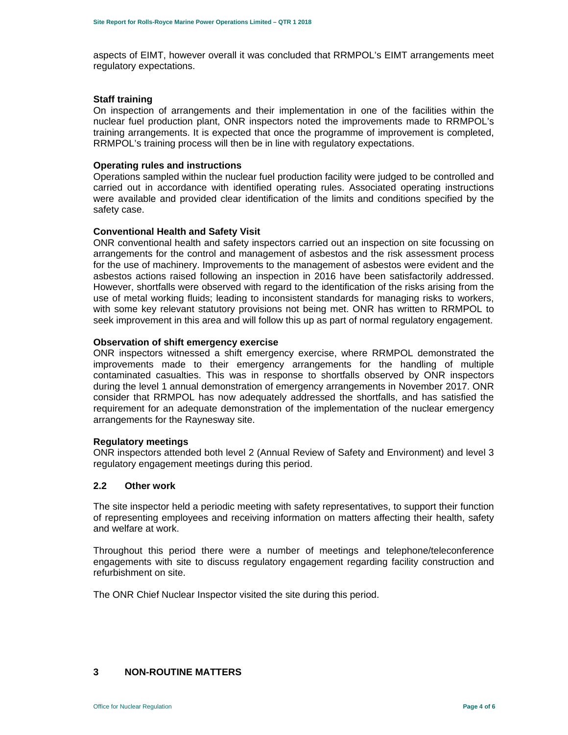aspects of EIMT, however overall it was concluded that RRMPOL's EIMT arrangements meet regulatory expectations.

#### **Staff training**

On inspection of arrangements and their implementation in one of the facilities within the nuclear fuel production plant, ONR inspectors noted the improvements made to RRMPOL's training arrangements. It is expected that once the programme of improvement is completed, RRMPOL's training process will then be in line with regulatory expectations.

#### **Operating rules and instructions**

Operations sampled within the nuclear fuel production facility were judged to be controlled and carried out in accordance with identified operating rules. Associated operating instructions were available and provided clear identification of the limits and conditions specified by the safety case.

#### **Conventional Health and Safety Visit**

ONR conventional health and safety inspectors carried out an inspection on site focussing on arrangements for the control and management of asbestos and the risk assessment process for the use of machinery. Improvements to the management of asbestos were evident and the asbestos actions raised following an inspection in 2016 have been satisfactorily addressed. However, shortfalls were observed with regard to the identification of the risks arising from the use of metal working fluids; leading to inconsistent standards for managing risks to workers, with some key relevant statutory provisions not being met. ONR has written to RRMPOL to seek improvement in this area and will follow this up as part of normal regulatory engagement.

#### **Observation of shift emergency exercise**

ONR inspectors witnessed a shift emergency exercise, where RRMPOL demonstrated the improvements made to their emergency arrangements for the handling of multiple contaminated casualties. This was in response to shortfalls observed by ONR inspectors during the level 1 annual demonstration of emergency arrangements in November 2017. ONR consider that RRMPOL has now adequately addressed the shortfalls, and has satisfied the requirement for an adequate demonstration of the implementation of the nuclear emergency arrangements for the Raynesway site.

#### **Regulatory meetings**

ONR inspectors attended both level 2 (Annual Review of Safety and Environment) and level 3 regulatory engagement meetings during this period.

# **2.2 Other work**

The site inspector held a periodic meeting with safety representatives, to support their function of representing employees and receiving information on matters affecting their health, safety and welfare at work.

Throughout this period there were a number of meetings and telephone/teleconference engagements with site to discuss regulatory engagement regarding facility construction and refurbishment on site.

The ONR Chief Nuclear Inspector visited the site during this period.

# **3 NON-ROUTINE MATTERS**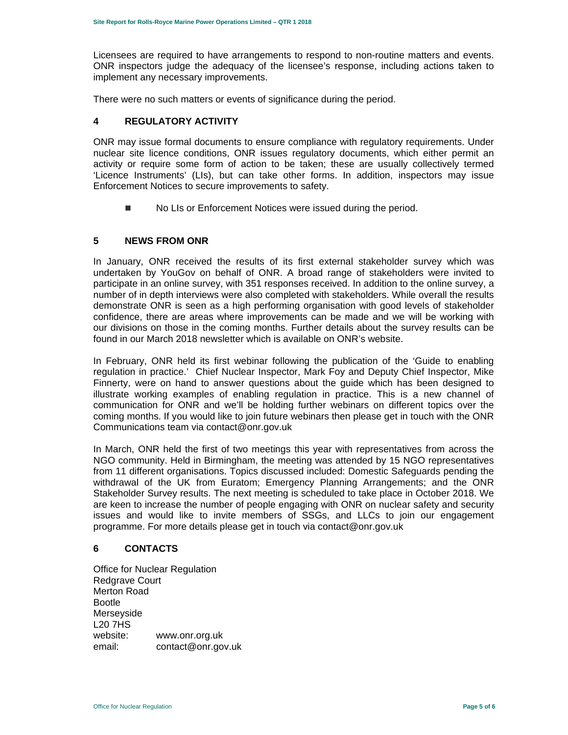Licensees are required to have arrangements to respond to non-routine matters and events. ONR inspectors judge the adequacy of the licensee's response, including actions taken to implement any necessary improvements.

There were no such matters or events of significance during the period.

# **4 REGULATORY ACTIVITY**

ONR may issue formal documents to ensure compliance with regulatory requirements. Under nuclear site licence conditions, ONR issues regulatory documents, which either permit an activity or require some form of action to be taken; these are usually collectively termed 'Licence Instruments' (LIs), but can take other forms. In addition, inspectors may issue Enforcement Notices to secure improvements to safety.

No LIs or Enforcement Notices were issued during the period.

# **5 NEWS FROM ONR**

In January, ONR received the results of its first external stakeholder survey which was undertaken by YouGov on behalf of ONR. A broad range of stakeholders were invited to participate in an online survey, with 351 responses received. In addition to the online survey, a number of in depth interviews were also completed with stakeholders. While overall the results demonstrate ONR is seen as a high performing organisation with good levels of stakeholder confidence, there are areas where improvements can be made and we will be working with our divisions on those in the coming months. Further details about the survey results can be found in our March 2018 newsletter which is available on ONR's website.

In February, ONR held its first webinar following the publication of the 'Guide to enabling regulation in practice.' Chief Nuclear Inspector, Mark Foy and Deputy Chief Inspector, Mike Finnerty, were on hand to answer questions about the guide which has been designed to illustrate working examples of enabling regulation in practice. This is a new channel of communication for ONR and we'll be holding further webinars on different topics over the coming months. If you would like to join future webinars then please get in touch with the ONR Communications team via contact@onr.gov.uk

In March, ONR held the first of two meetings this year with representatives from across the NGO community. Held in Birmingham, the meeting was attended by 15 NGO representatives from 11 different organisations. Topics discussed included: Domestic Safeguards pending the withdrawal of the UK from Euratom; Emergency Planning Arrangements; and the ONR Stakeholder Survey results. The next meeting is scheduled to take place in October 2018. We are keen to increase the number of people engaging with ONR on nuclear safety and security issues and would like to invite members of SSGs, and LLCs to join our engagement programme. For more details please get in touch via contact@onr.gov.uk

# **6 CONTACTS**

Office for Nuclear Regulation Redgrave Court Merton Road Bootle Merseyside L20 7HS website: www.onr.org.uk email: contact@onr.gov.uk